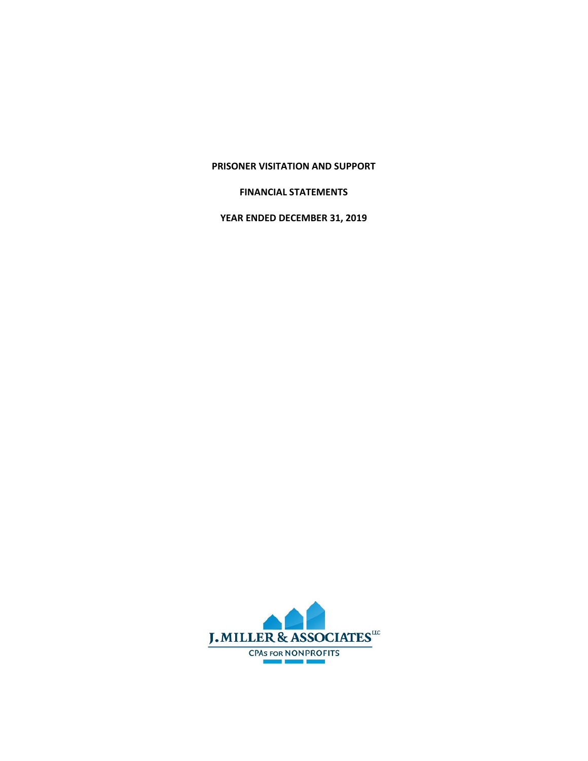## **PRISONER VISITATION AND SUPPORT**

# **FINANCIAL STATEMENTS**

**YEAR ENDED DECEMBER 31, 2019**

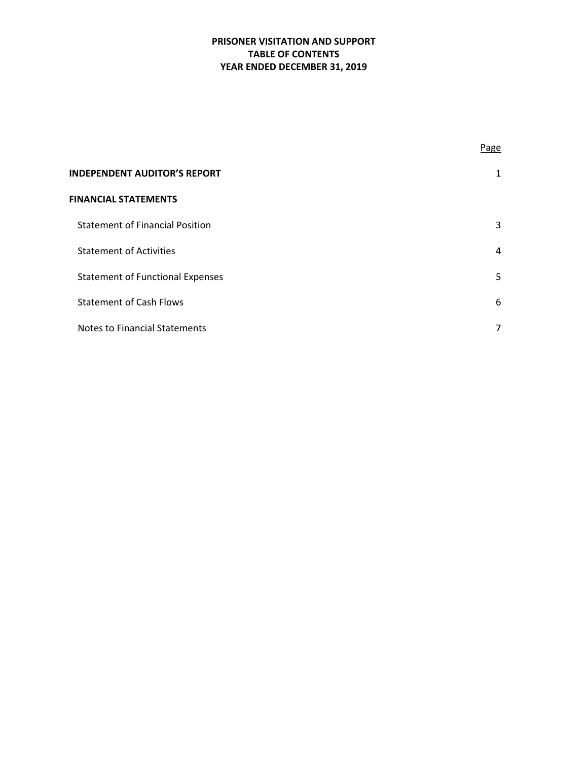# **PRISONER VISITATION AND SUPPORT TABLE OF CONTENTS YEAR ENDED DECEMBER 31, 2019**

|                                         | Page           |
|-----------------------------------------|----------------|
| <b>INDEPENDENT AUDITOR'S REPORT</b>     | 1              |
| <b>FINANCIAL STATEMENTS</b>             |                |
| <b>Statement of Financial Position</b>  | 3              |
| <b>Statement of Activities</b>          | $\overline{4}$ |
| <b>Statement of Functional Expenses</b> | 5              |
| <b>Statement of Cash Flows</b>          | 6              |
| <b>Notes to Financial Statements</b>    | 7              |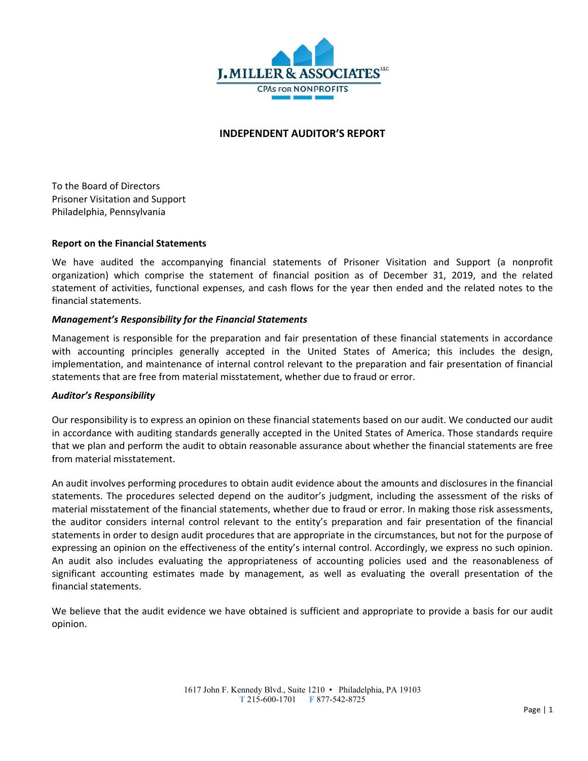

## **INDEPENDENT AUDITOR'S REPORT**

To the Board of Directors Prisoner Visitation and Support Philadelphia, Pennsylvania

## **Report on the Financial Statements**

We have audited the accompanying financial statements of Prisoner Visitation and Support (a nonprofit organization) which comprise the statement of financial position as of December 31, 2019, and the related statement of activities, functional expenses, and cash flows for the year then ended and the related notes to the financial statements.

## *Management's Responsibility for the Financial Statements*

Management is responsible for the preparation and fair presentation of these financial statements in accordance with accounting principles generally accepted in the United States of America; this includes the design, implementation, and maintenance of internal control relevant to the preparation and fair presentation of financial statements that are free from material misstatement, whether due to fraud or error.

#### *Auditor's Responsibility*

Our responsibility is to express an opinion on these financial statements based on our audit. We conducted our audit in accordance with auditing standards generally accepted in the United States of America. Those standards require that we plan and perform the audit to obtain reasonable assurance about whether the financial statements are free from material misstatement.

An audit involves performing procedures to obtain audit evidence about the amounts and disclosures in the financial statements. The procedures selected depend on the auditor's judgment, including the assessment of the risks of material misstatement of the financial statements, whether due to fraud or error. In making those risk assessments, the auditor considers internal control relevant to the entity's preparation and fair presentation of the financial statements in order to design audit procedures that are appropriate in the circumstances, but not for the purpose of expressing an opinion on the effectiveness of the entity's internal control. Accordingly, we express no such opinion. An audit also includes evaluating the appropriateness of accounting policies used and the reasonableness of significant accounting estimates made by management, as well as evaluating the overall presentation of the financial statements.

We believe that the audit evidence we have obtained is sufficient and appropriate to provide a basis for our audit opinion.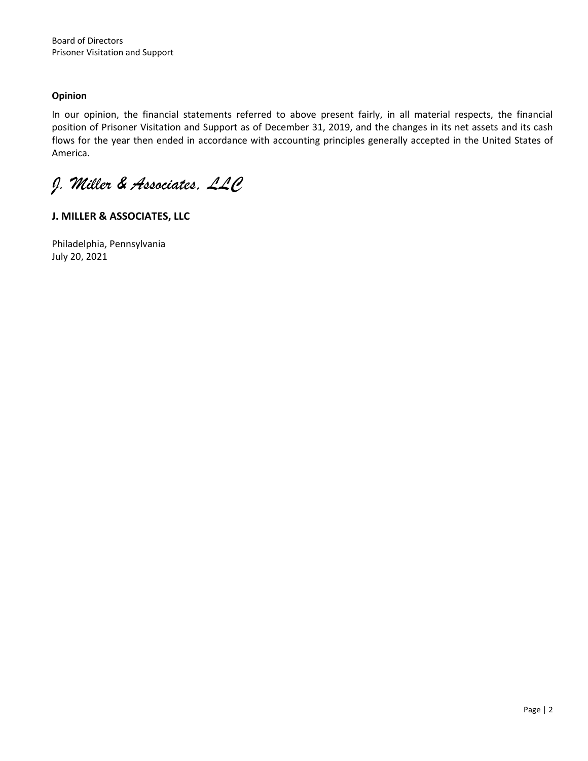# **Opinion**

In our opinion, the financial statements referred to above present fairly, in all material respects, the financial position of Prisoner Visitation and Support as of December 31, 2019, and the changes in its net assets and its cash flows for the year then ended in accordance with accounting principles generally accepted in the United States of America.

*J. Miller & Associates, LLC* 

# **J. MILLER & ASSOCIATES, LLC**

Philadelphia, Pennsylvania July 20, 2021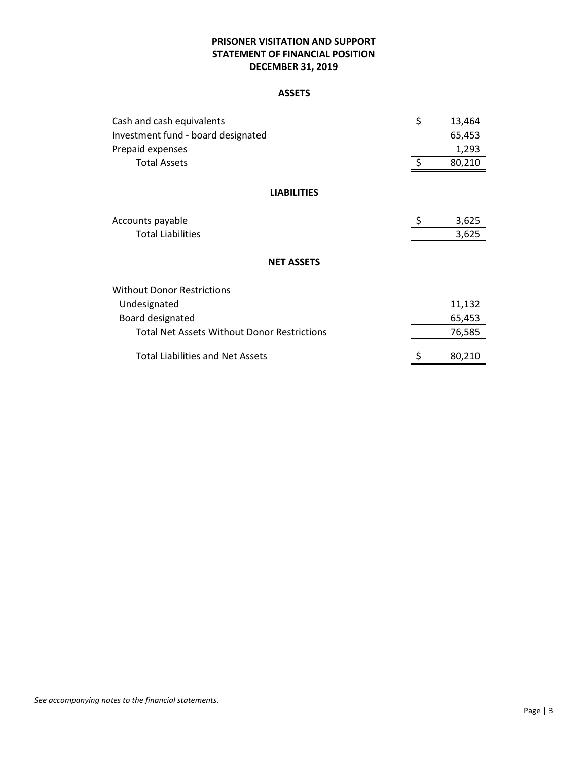# **PRISONER VISITATION AND SUPPORT STATEMENT OF FINANCIAL POSITION DECEMBER 31, 2019**

## **ASSETS**

| Cash and cash equivalents                          | \$ | 13,464 |
|----------------------------------------------------|----|--------|
| Investment fund - board designated                 |    | 65,453 |
| Prepaid expenses                                   |    | 1,293  |
| <b>Total Assets</b>                                | Ŝ. | 80,210 |
| <b>LIABILITIES</b>                                 |    |        |
| Accounts payable                                   | \$ | 3,625  |
| <b>Total Liabilities</b>                           |    | 3,625  |
| <b>NET ASSETS</b>                                  |    |        |
| <b>Without Donor Restrictions</b>                  |    |        |
| Undesignated                                       |    | 11,132 |
| Board designated                                   |    | 65,453 |
| <b>Total Net Assets Without Donor Restrictions</b> |    | 76,585 |
| <b>Total Liabilities and Net Assets</b>            | \$ | 80,210 |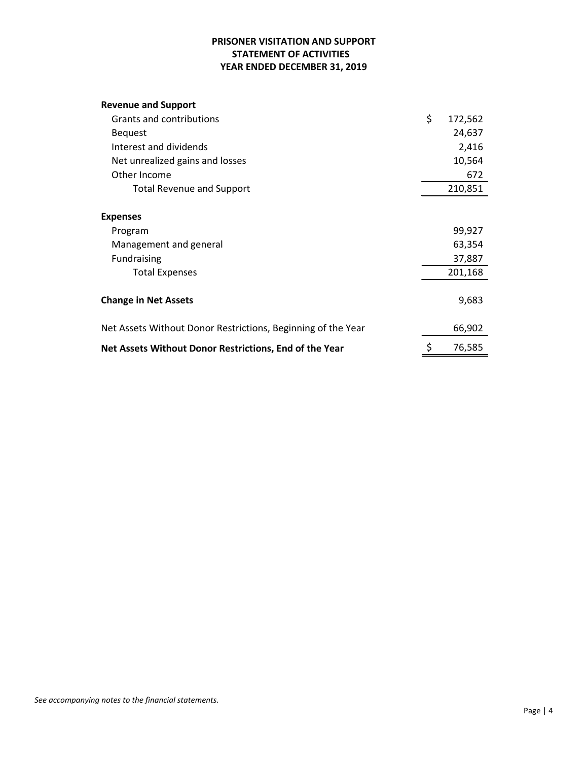# **PRISONER VISITATION AND SUPPORT STATEMENT OF ACTIVITIES YEAR ENDED DECEMBER 31, 2019**

# **Revenue and Support**

| Grants and contributions                                     | \$<br>172,562 |
|--------------------------------------------------------------|---------------|
| <b>Bequest</b>                                               | 24,637        |
| Interest and dividends                                       | 2,416         |
| Net unrealized gains and losses                              | 10,564        |
| Other Income                                                 | 672           |
| <b>Total Revenue and Support</b>                             | 210,851       |
|                                                              |               |
| <b>Expenses</b>                                              |               |
| Program                                                      | 99,927        |
| Management and general                                       | 63,354        |
| <b>Fundraising</b>                                           | 37,887        |
| <b>Total Expenses</b>                                        | 201,168       |
|                                                              |               |
| <b>Change in Net Assets</b>                                  | 9,683         |
| Net Assets Without Donor Restrictions, Beginning of the Year | 66,902        |
| Net Assets Without Donor Restrictions, End of the Year       | \$<br>76,585  |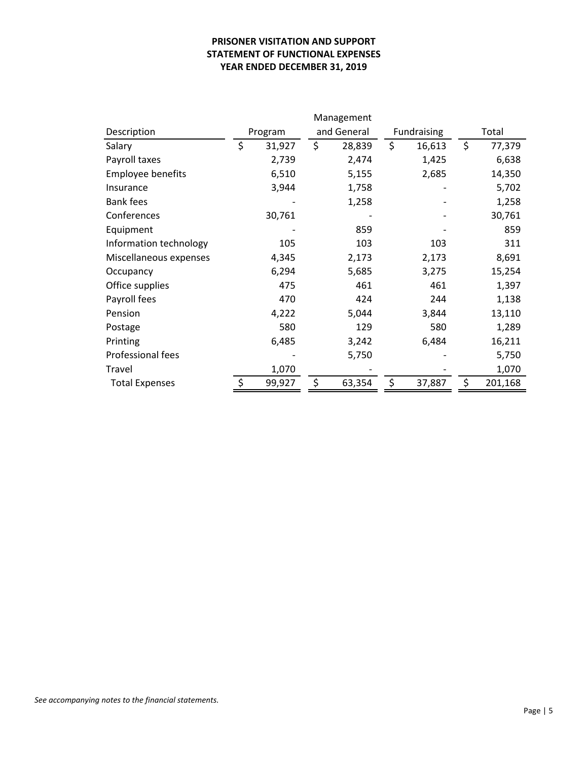# **PRISONER VISITATION AND SUPPORT STATEMENT OF FUNCTIONAL EXPENSES YEAR ENDED DECEMBER 31, 2019**

|                          | Management |        |             |        |             |        |        |         |  |        |
|--------------------------|------------|--------|-------------|--------|-------------|--------|--------|---------|--|--------|
| Description              | Program    |        | and General |        | Fundraising |        | Total  |         |  |        |
| Salary                   | \$         | 31,927 | \$          | 28,839 | \$          | 16,613 |        | 77,379  |  |        |
| Payroll taxes            |            | 2,739  |             | 2,474  |             | 1,425  |        | 6,638   |  |        |
| <b>Employee benefits</b> |            | 6,510  |             | 5,155  |             | 2,685  |        | 14,350  |  |        |
| Insurance                |            | 3,944  | 1,758       |        |             |        |        | 5,702   |  |        |
| <b>Bank fees</b>         |            |        | 1,258       |        |             |        |        | 1,258   |  |        |
| Conferences              |            | 30,761 |             |        |             |        |        | 30,761  |  |        |
| Equipment                |            |        | 859         |        |             |        |        | 859     |  |        |
| Information technology   | 105        |        | 103         |        | 103         |        |        | 311     |  |        |
| Miscellaneous expenses   | 4,345      |        |             | 2,173  |             | 2,173  |        | 8,691   |  |        |
| Occupancy                | 6,294      |        |             |        |             | 5,685  | 3,275  |         |  | 15,254 |
| Office supplies          | 475        |        |             | 461    |             | 461    |        | 1,397   |  |        |
| Payroll fees             | 470        |        | 424         |        | 244         |        |        | 1,138   |  |        |
| Pension                  | 4,222      |        |             |        | 5,044       |        | 3,844  |         |  | 13,110 |
| Postage                  | 580        |        | 129         |        | 580         |        |        | 1,289   |  |        |
| Printing                 | 6,485      |        | 3,242       |        | 6,484       |        | 16,211 |         |  |        |
| Professional fees        |            |        |             | 5,750  |             |        |        | 5,750   |  |        |
| Travel                   |            | 1,070  |             |        |             |        |        | 1,070   |  |        |
| <b>Total Expenses</b>    | \$         | 99,927 | \$          | 63,354 | \$          | 37,887 | \$     | 201,168 |  |        |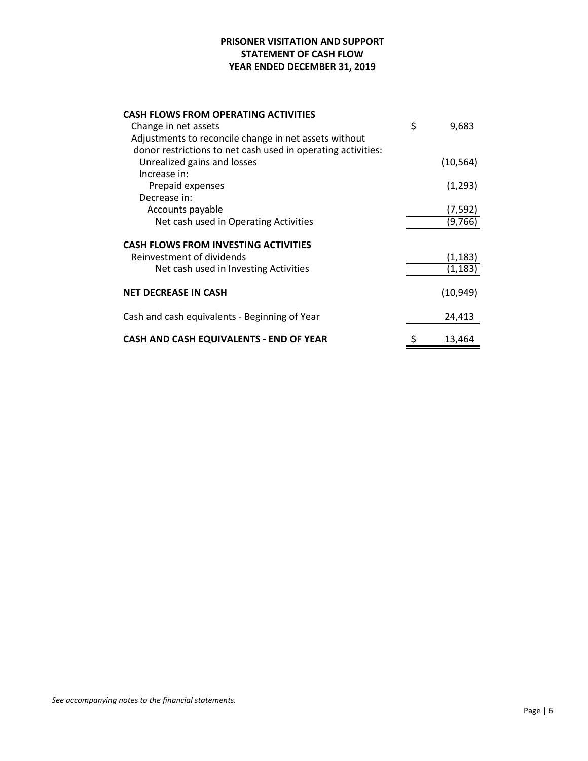# **PRISONER VISITATION AND SUPPORT STATEMENT OF CASH FLOW YEAR ENDED DECEMBER 31, 2019**

| <b>CASH FLOWS FROM OPERATING ACTIVITIES</b>                  |    |           |
|--------------------------------------------------------------|----|-----------|
| Change in net assets                                         | \$ | 9,683     |
| Adjustments to reconcile change in net assets without        |    |           |
| donor restrictions to net cash used in operating activities: |    |           |
| Unrealized gains and losses                                  |    | (10, 564) |
| Increase in:                                                 |    |           |
| Prepaid expenses                                             |    | (1,293)   |
| Decrease in:                                                 |    |           |
| Accounts payable                                             |    | (7, 592)  |
| Net cash used in Operating Activities                        |    | (9,766)   |
| <b>CASH FLOWS FROM INVESTING ACTIVITIES</b>                  |    |           |
| Reinvestment of dividends                                    |    | (1, 183)  |
| Net cash used in Investing Activities                        |    | (1,183)   |
|                                                              |    |           |
| <b>NET DECREASE IN CASH</b>                                  |    | (10, 949) |
| Cash and cash equivalents - Beginning of Year                |    | 24,413    |
|                                                              |    |           |
| CASH AND CASH EQUIVALENTS - END OF YEAR                      | Ş  | 13,464    |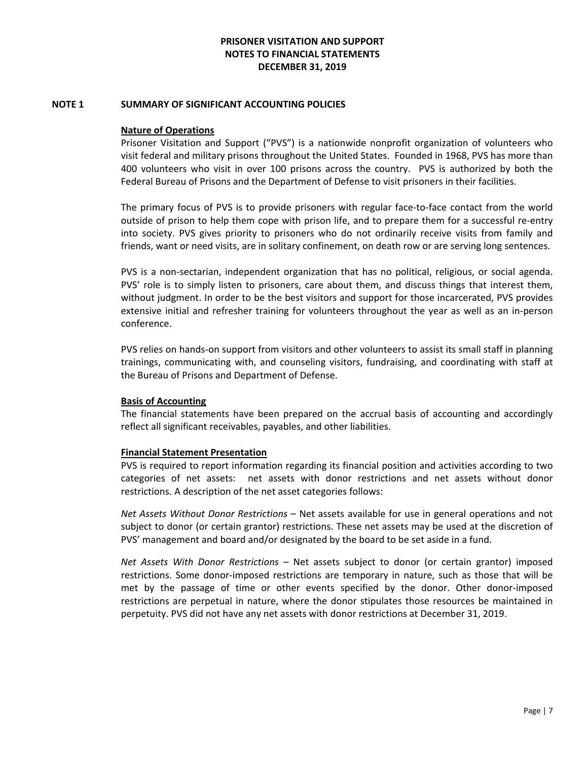### **NOTE 1 SUMMARY OF SIGNIFICANT ACCOUNTING POLICIES**

## **Nature of Operations**

Prisoner Visitation and Support ("PVS") is a nationwide nonprofit organization of volunteers who visit federal and military prisons throughout the United States. Founded in 1968, PVS has more than 400 volunteers who visit in over 100 prisons across the country. PVS is authorized by both the Federal Bureau of Prisons and the Department of Defense to visit prisoners in their facilities.

The primary focus of PVS is to provide prisoners with regular face-to-face contact from the world outside of prison to help them cope with prison life, and to prepare them for a successful re‐entry into society. PVS gives priority to prisoners who do not ordinarily receive visits from family and friends, want or need visits, are in solitary confinement, on death row or are serving long sentences.

PVS is a non‐sectarian, independent organization that has no political, religious, or social agenda. PVS' role is to simply listen to prisoners, care about them, and discuss things that interest them, without judgment. In order to be the best visitors and support for those incarcerated, PVS provides extensive initial and refresher training for volunteers throughout the year as well as an in‐person conference.

PVS relies on hands‐on support from visitors and other volunteers to assist its small staff in planning trainings, communicating with, and counseling visitors, fundraising, and coordinating with staff at the Bureau of Prisons and Department of Defense.

## **Basis of Accounting**

The financial statements have been prepared on the accrual basis of accounting and accordingly reflect all significant receivables, payables, and other liabilities.

## **Financial Statement Presentation**

PVS is required to report information regarding its financial position and activities according to two categories of net assets: net assets with donor restrictions and net assets without donor restrictions. A description of the net asset categories follows:

*Net Assets Without Donor Restrictions* – Net assets available for use in general operations and not subject to donor (or certain grantor) restrictions. These net assets may be used at the discretion of PVS' management and board and/or designated by the board to be set aside in a fund.

*Net Assets With Donor Restrictions* – Net assets subject to donor (or certain grantor) imposed restrictions. Some donor-imposed restrictions are temporary in nature, such as those that will be met by the passage of time or other events specified by the donor. Other donor‐imposed restrictions are perpetual in nature, where the donor stipulates those resources be maintained in perpetuity. PVS did not have any net assets with donor restrictions at December 31, 2019.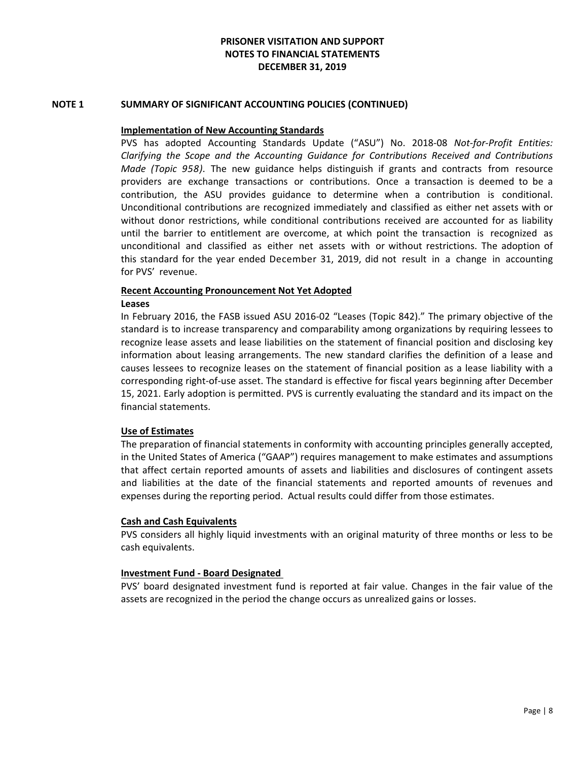## **NOTE 1 SUMMARY OF SIGNIFICANT ACCOUNTING POLICIES (CONTINUED)**

### **Implementation of New Accounting Standards**

PVS has adopted Accounting Standards Update ("ASU") No. 2018‐08 *Not‐for‐Profit Entities: Clarifying the Scope and the Accounting Guidance for Contributions Received and Contributions Made (Topic 958)*. The new guidance helps distinguish if grants and contracts from resource providers are exchange transactions or contributions. Once a transaction is deemed to be a contribution, the ASU provides guidance to determine when a contribution is conditional. Unconditional contributions are recognized immediately and classified as either net assets with or without donor restrictions, while conditional contributions received are accounted for as liability until the barrier to entitlement are overcome, at which point the transaction is recognized as unconditional and classified as either net assets with or without restrictions. The adoption of this standard for the year ended December 31, 2019, did not result in a change in accounting for PVS' revenue.

# **Recent Accounting Pronouncement Not Yet Adopted**

#### **Leases**

In February 2016, the FASB issued ASU 2016‐02 "Leases (Topic 842)." The primary objective of the standard is to increase transparency and comparability among organizations by requiring lessees to recognize lease assets and lease liabilities on the statement of financial position and disclosing key information about leasing arrangements. The new standard clarifies the definition of a lease and causes lessees to recognize leases on the statement of financial position as a lease liability with a corresponding right‐of‐use asset. The standard is effective for fiscal years beginning after December 15, 2021. Early adoption is permitted. PVS is currently evaluating the standard and its impact on the financial statements.

## **Use of Estimates**

The preparation of financial statements in conformity with accounting principles generally accepted, in the United States of America ("GAAP") requires management to make estimates and assumptions that affect certain reported amounts of assets and liabilities and disclosures of contingent assets and liabilities at the date of the financial statements and reported amounts of revenues and expenses during the reporting period. Actual results could differ from those estimates.

## **Cash and Cash Equivalents**

PVS considers all highly liquid investments with an original maturity of three months or less to be cash equivalents.

## **Investment Fund ‐ Board Designated**

PVS' board designated investment fund is reported at fair value. Changes in the fair value of the assets are recognized in the period the change occurs as unrealized gains or losses.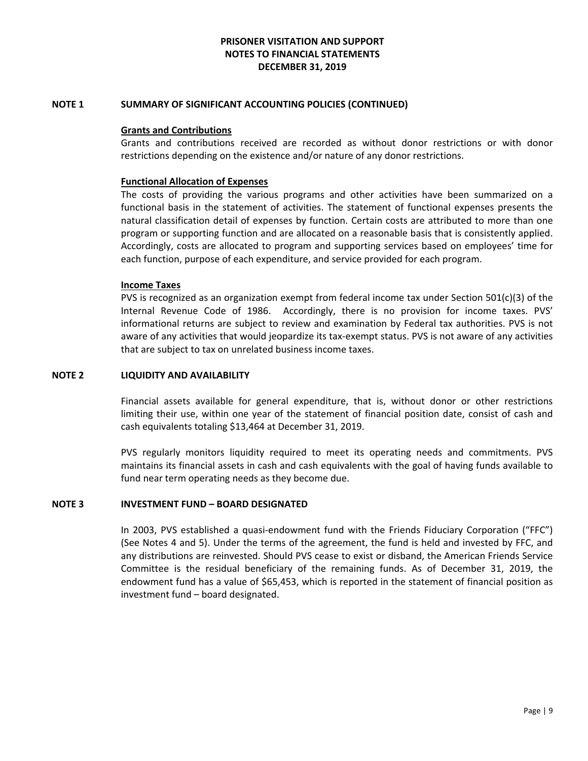### **NOTE 1 SUMMARY OF SIGNIFICANT ACCOUNTING POLICIES (CONTINUED)**

### **Grants and Contributions**

Grants and contributions received are recorded as without donor restrictions or with donor restrictions depending on the existence and/or nature of any donor restrictions.

## **Functional Allocation of Expenses**

The costs of providing the various programs and other activities have been summarized on a functional basis in the statement of activities. The statement of functional expenses presents the natural classification detail of expenses by function. Certain costs are attributed to more than one program or supporting function and are allocated on a reasonable basis that is consistently applied. Accordingly, costs are allocated to program and supporting services based on employees' time for each function, purpose of each expenditure, and service provided for each program.

## **Income Taxes**

PVS is recognized as an organization exempt from federal income tax under Section 501(c)(3) of the Internal Revenue Code of 1986. Accordingly, there is no provision for income taxes. PVS' informational returns are subject to review and examination by Federal tax authorities. PVS is not aware of any activities that would jeopardize its tax‐exempt status. PVS is not aware of any activities that are subject to tax on unrelated business income taxes.

## **NOTE 2 LIQUIDITY AND AVAILABILITY**

Financial assets available for general expenditure, that is, without donor or other restrictions limiting their use, within one year of the statement of financial position date, consist of cash and cash equivalents totaling \$13,464 at December 31, 2019.

PVS regularly monitors liquidity required to meet its operating needs and commitments. PVS maintains its financial assets in cash and cash equivalents with the goal of having funds available to fund near term operating needs as they become due.

# **NOTE 3 INVESTMENT FUND – BOARD DESIGNATED**

In 2003, PVS established a quasi‐endowment fund with the Friends Fiduciary Corporation ("FFC") (See Notes 4 and 5). Under the terms of the agreement, the fund is held and invested by FFC, and any distributions are reinvested. Should PVS cease to exist or disband, the American Friends Service Committee is the residual beneficiary of the remaining funds. As of December 31, 2019, the endowment fund has a value of \$65,453, which is reported in the statement of financial position as investment fund – board designated.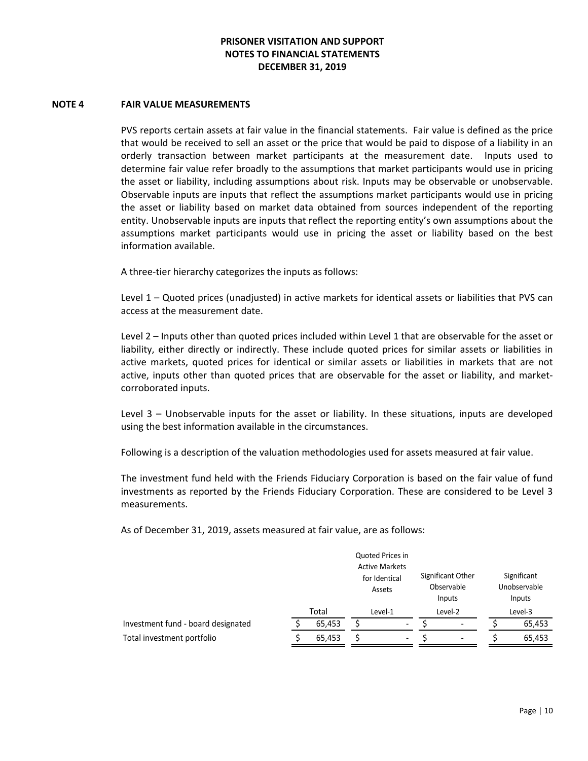#### **NOTE 4 FAIR VALUE MEASUREMENTS**

PVS reports certain assets at fair value in the financial statements. Fair value is defined as the price that would be received to sell an asset or the price that would be paid to dispose of a liability in an orderly transaction between market participants at the measurement date. Inputs used to determine fair value refer broadly to the assumptions that market participants would use in pricing the asset or liability, including assumptions about risk. Inputs may be observable or unobservable. Observable inputs are inputs that reflect the assumptions market participants would use in pricing the asset or liability based on market data obtained from sources independent of the reporting entity. Unobservable inputs are inputs that reflect the reporting entity's own assumptions about the assumptions market participants would use in pricing the asset or liability based on the best information available.

A three‐tier hierarchy categorizes the inputs as follows:

Level 1 – Quoted prices (unadjusted) in active markets for identical assets or liabilities that PVS can access at the measurement date.

Level 2 – Inputs other than quoted prices included within Level 1 that are observable for the asset or liability, either directly or indirectly. These include quoted prices for similar assets or liabilities in active markets, quoted prices for identical or similar assets or liabilities in markets that are not active, inputs other than quoted prices that are observable for the asset or liability, and marketcorroborated inputs.

Level 3 – Unobservable inputs for the asset or liability. In these situations, inputs are developed using the best information available in the circumstances.

Following is a description of the valuation methodologies used for assets measured at fair value.

The investment fund held with the Friends Fiduciary Corporation is based on the fair value of fund investments as reported by the Friends Fiduciary Corporation. These are considered to be Level 3 measurements.

As of December 31, 2019, assets measured at fair value, are as follows:

|                                    |        | Quoted Prices in<br><b>Active Markets</b><br>for Identical<br>Assets |         |                          | Significant Other<br>Observable<br>Inputs |                          | Significant<br>Unobservable<br>Inputs |         |
|------------------------------------|--------|----------------------------------------------------------------------|---------|--------------------------|-------------------------------------------|--------------------------|---------------------------------------|---------|
|                                    | Total  |                                                                      | Level-1 |                          | Level-2                                   |                          |                                       | Level-3 |
| Investment fund - board designated | 65,453 |                                                                      |         | $\overline{\phantom{0}}$ |                                           | -                        |                                       | 65,453  |
| Total investment portfolio         | 65,453 |                                                                      |         | -                        |                                           | $\overline{\phantom{a}}$ |                                       | 65,453  |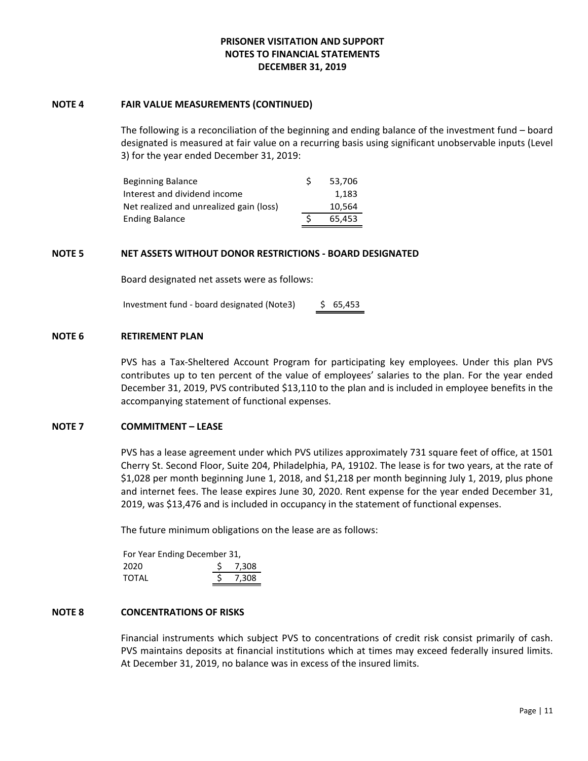### **NOTE 4 FAIR VALUE MEASUREMENTS (CONTINUED)**

The following is a reconciliation of the beginning and ending balance of the investment fund – board designated is measured at fair value on a recurring basis using significant unobservable inputs (Level 3) for the year ended December 31, 2019:

| <b>Beginning Balance</b>                | 53.706 |
|-----------------------------------------|--------|
| Interest and dividend income            | 1.183  |
| Net realized and unrealized gain (loss) | 10.564 |
| <b>Ending Balance</b>                   | 65.453 |

## **NOTE 5 NET ASSETS WITHOUT DONOR RESTRICTIONS ‐ BOARD DESIGNATED**

 Board designated net assets were as follows:

Investment fund - board designated (Note3) \$ 65,453

#### **NOTE 6 RETIREMENT PLAN**

PVS has a Tax‐Sheltered Account Program for participating key employees. Under this plan PVS contributes up to ten percent of the value of employees' salaries to the plan. For the year ended December 31, 2019, PVS contributed \$13,110 to the plan and is included in employee benefits in the accompanying statement of functional expenses.

#### **NOTE 7 COMMITMENT – LEASE**

PVS has a lease agreement under which PVS utilizes approximately 731 square feet of office, at 1501 Cherry St. Second Floor, Suite 204, Philadelphia, PA, 19102. The lease is for two years, at the rate of \$1,028 per month beginning June 1, 2018, and \$1,218 per month beginning July 1, 2019, plus phone and internet fees. The lease expires June 30, 2020. Rent expense for the year ended December 31, 2019, was \$13,476 and is included in occupancy in the statement of functional expenses.

The future minimum obligations on the lease are as follows:

| For Year Ending December 31, |  |         |  |  |  |
|------------------------------|--|---------|--|--|--|
| 2020                         |  | \$7,308 |  |  |  |
| <b>TOTAL</b>                 |  | 7,308   |  |  |  |

#### **NOTE 8 CONCENTRATIONS OF RISKS**

Financial instruments which subject PVS to concentrations of credit risk consist primarily of cash. PVS maintains deposits at financial institutions which at times may exceed federally insured limits. At December 31, 2019, no balance was in excess of the insured limits.